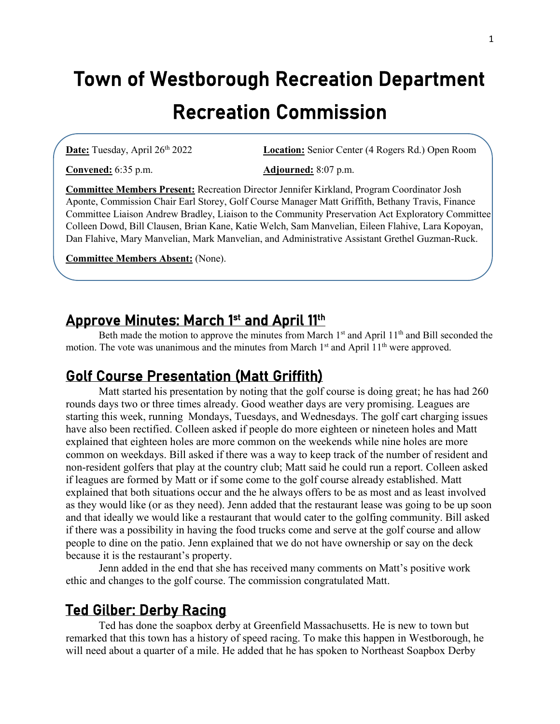# Town of Westborough Recreation Department Recreation Commission

**Date:** Tuesday, April 26th 2022 **Location:** Senior Center (4 Rogers Rd.) Open Room

**Convened:** 6:35 p.m. **Adjourned:** 8:07 p.m.

**Committee Members Present:** Recreation Director Jennifer Kirkland, Program Coordinator Josh Aponte, Commission Chair Earl Storey, Golf Course Manager Matt Griffith, Bethany Travis, Finance Committee Liaison Andrew Bradley, Liaison to the Community Preservation Act Exploratory Committee Colleen Dowd, Bill Clausen, Brian Kane, Katie Welch, Sam Manvelian, Eileen Flahive, Lara Kopoyan, Dan Flahive, Mary Manvelian, Mark Manvelian, and Administrative Assistant Grethel Guzman-Ruck.

**Committee Members Absent:** (None).

### Approve Minutes: March 1st and April 11th

Beth made the motion to approve the minutes from March 1<sup>st</sup> and April 11<sup>th</sup> and Bill seconded the motion. The vote was unanimous and the minutes from March 1<sup>st</sup> and April 11<sup>th</sup> were approved.

#### Golf Course Presentation (Matt Griffith)

Matt started his presentation by noting that the golf course is doing great; he has had 260 rounds days two or three times already. Good weather days are very promising. Leagues are starting this week, running Mondays, Tuesdays, and Wednesdays. The golf cart charging issues have also been rectified. Colleen asked if people do more eighteen or nineteen holes and Matt explained that eighteen holes are more common on the weekends while nine holes are more common on weekdays. Bill asked if there was a way to keep track of the number of resident and non-resident golfers that play at the country club; Matt said he could run a report. Colleen asked if leagues are formed by Matt or if some come to the golf course already established. Matt explained that both situations occur and the he always offers to be as most and as least involved as they would like (or as they need). Jenn added that the restaurant lease was going to be up soon and that ideally we would like a restaurant that would cater to the golfing community. Bill asked if there was a possibility in having the food trucks come and serve at the golf course and allow people to dine on the patio. Jenn explained that we do not have ownership or say on the deck because it is the restaurant's property.

Jenn added in the end that she has received many comments on Matt's positive work ethic and changes to the golf course. The commission congratulated Matt.

#### Ted Gilber: Derby Racing

Ted has done the soapbox derby at Greenfield Massachusetts. He is new to town but remarked that this town has a history of speed racing. To make this happen in Westborough, he will need about a quarter of a mile. He added that he has spoken to Northeast Soapbox Derby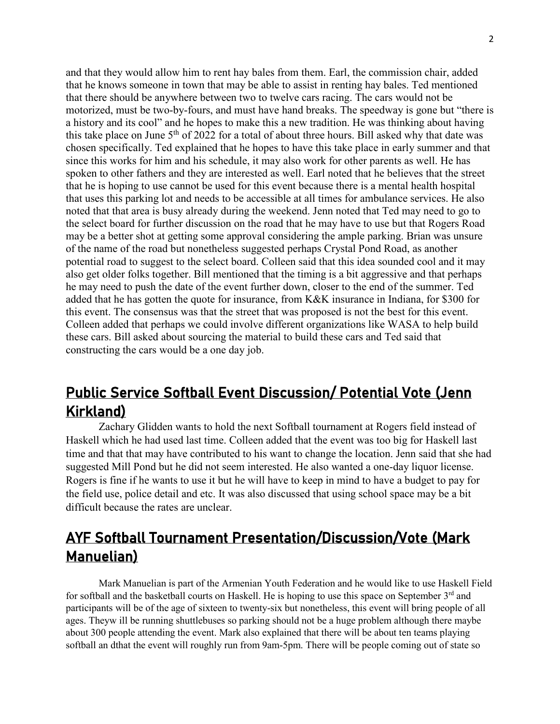and that they would allow him to rent hay bales from them. Earl, the commission chair, added that he knows someone in town that may be able to assist in renting hay bales. Ted mentioned that there should be anywhere between two to twelve cars racing. The cars would not be motorized, must be two-by-fours, and must have hand breaks. The speedway is gone but "there is a history and its cool" and he hopes to make this a new tradition. He was thinking about having this take place on June  $5<sup>th</sup>$  of 2022 for a total of about three hours. Bill asked why that date was chosen specifically. Ted explained that he hopes to have this take place in early summer and that since this works for him and his schedule, it may also work for other parents as well. He has spoken to other fathers and they are interested as well. Earl noted that he believes that the street that he is hoping to use cannot be used for this event because there is a mental health hospital that uses this parking lot and needs to be accessible at all times for ambulance services. He also noted that that area is busy already during the weekend. Jenn noted that Ted may need to go to the select board for further discussion on the road that he may have to use but that Rogers Road may be a better shot at getting some approval considering the ample parking. Brian was unsure of the name of the road but nonetheless suggested perhaps Crystal Pond Road, as another potential road to suggest to the select board. Colleen said that this idea sounded cool and it may also get older folks together. Bill mentioned that the timing is a bit aggressive and that perhaps he may need to push the date of the event further down, closer to the end of the summer. Ted added that he has gotten the quote for insurance, from K&K insurance in Indiana, for \$300 for this event. The consensus was that the street that was proposed is not the best for this event. Colleen added that perhaps we could involve different organizations like WASA to help build these cars. Bill asked about sourcing the material to build these cars and Ted said that constructing the cars would be a one day job.

## Public Service Softball Event Discussion/ Potential Vote (Jenn Kirkland)

Zachary Glidden wants to hold the next Softball tournament at Rogers field instead of Haskell which he had used last time. Colleen added that the event was too big for Haskell last time and that that may have contributed to his want to change the location. Jenn said that she had suggested Mill Pond but he did not seem interested. He also wanted a one-day liquor license. Rogers is fine if he wants to use it but he will have to keep in mind to have a budget to pay for the field use, police detail and etc. It was also discussed that using school space may be a bit difficult because the rates are unclear.

## AYF Softball Tournament Presentation/Discussion/Vote (Mark Manuelian)

Mark Manuelian is part of the Armenian Youth Federation and he would like to use Haskell Field for softball and the basketball courts on Haskell. He is hoping to use this space on September  $3<sup>rd</sup>$  and participants will be of the age of sixteen to twenty-six but nonetheless, this event will bring people of all ages. Theyw ill be running shuttlebuses so parking should not be a huge problem although there maybe about 300 people attending the event. Mark also explained that there will be about ten teams playing softball an dthat the event will roughly run from 9am-5pm. There will be people coming out of state so